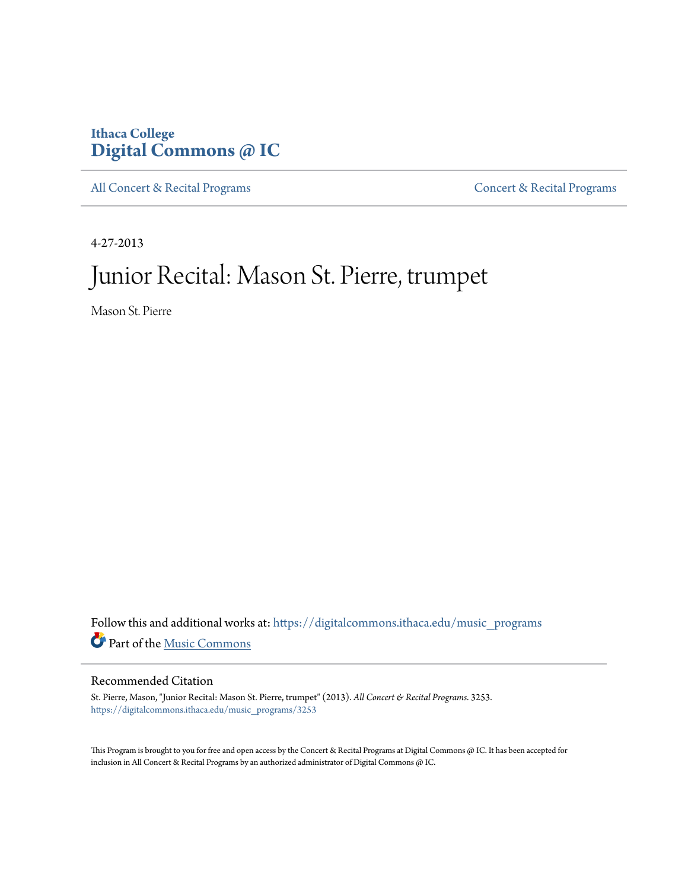# **Ithaca College [Digital Commons @ IC](https://digitalcommons.ithaca.edu?utm_source=digitalcommons.ithaca.edu%2Fmusic_programs%2F3253&utm_medium=PDF&utm_campaign=PDFCoverPages)**

[All Concert & Recital Programs](https://digitalcommons.ithaca.edu/music_programs?utm_source=digitalcommons.ithaca.edu%2Fmusic_programs%2F3253&utm_medium=PDF&utm_campaign=PDFCoverPages) **[Concert & Recital Programs](https://digitalcommons.ithaca.edu/som_programs?utm_source=digitalcommons.ithaca.edu%2Fmusic_programs%2F3253&utm_medium=PDF&utm_campaign=PDFCoverPages)** 

4-27-2013

# Junior Recital: Mason St. Pierre, trumpet

Mason St. Pierre

Follow this and additional works at: [https://digitalcommons.ithaca.edu/music\\_programs](https://digitalcommons.ithaca.edu/music_programs?utm_source=digitalcommons.ithaca.edu%2Fmusic_programs%2F3253&utm_medium=PDF&utm_campaign=PDFCoverPages) Part of the [Music Commons](http://network.bepress.com/hgg/discipline/518?utm_source=digitalcommons.ithaca.edu%2Fmusic_programs%2F3253&utm_medium=PDF&utm_campaign=PDFCoverPages)

#### Recommended Citation

St. Pierre, Mason, "Junior Recital: Mason St. Pierre, trumpet" (2013). *All Concert & Recital Programs*. 3253. [https://digitalcommons.ithaca.edu/music\\_programs/3253](https://digitalcommons.ithaca.edu/music_programs/3253?utm_source=digitalcommons.ithaca.edu%2Fmusic_programs%2F3253&utm_medium=PDF&utm_campaign=PDFCoverPages)

This Program is brought to you for free and open access by the Concert & Recital Programs at Digital Commons @ IC. It has been accepted for inclusion in All Concert & Recital Programs by an authorized administrator of Digital Commons @ IC.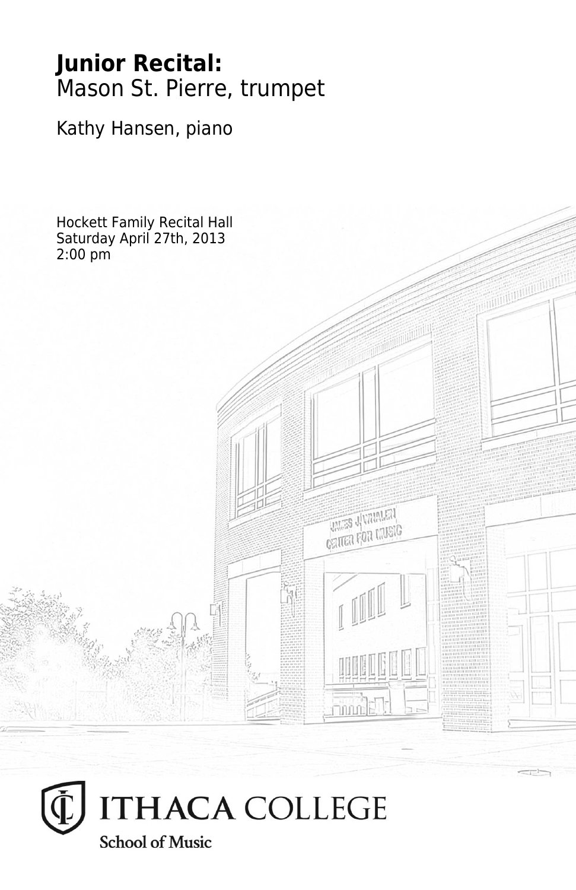# **Junior Recital:** Mason St. Pierre, trumpet

Kathy Hansen, piano

Hockett Family Recital Hall Saturday April 27th, 2013 2:00 pm**THES JUVALATA CRITER FOR LIVEIG**